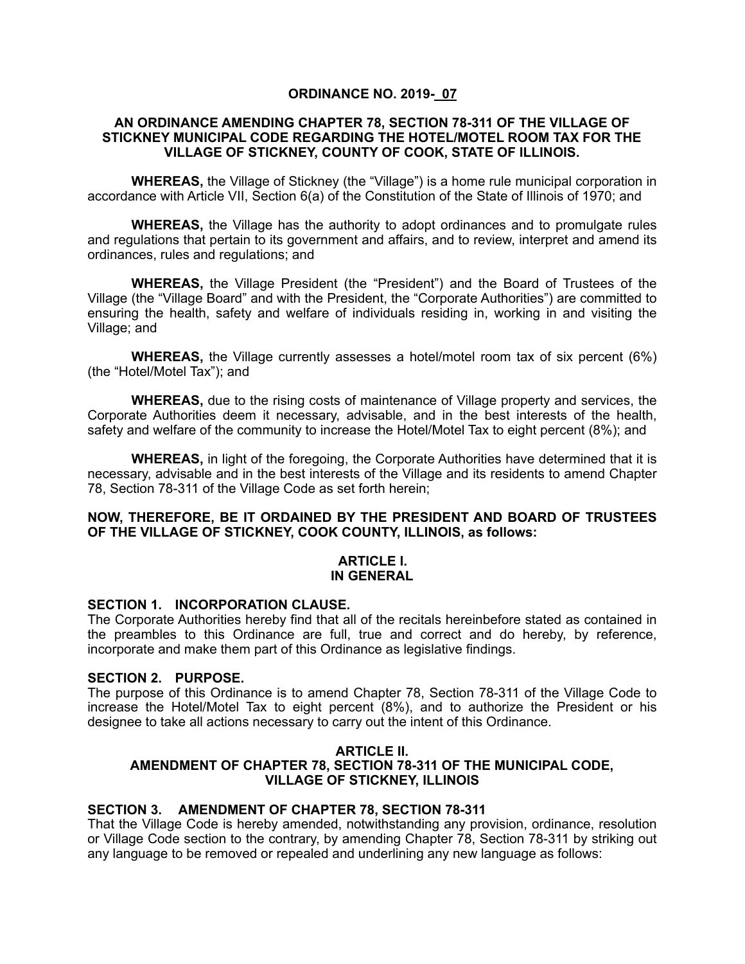# **ORDINANCE NO. 2019- 07**

### **AN ORDINANCE AMENDING CHAPTER 78, SECTION 78-311 OF THE VILLAGE OF STICKNEY MUNICIPAL CODE REGARDING THE HOTEL/MOTEL ROOM TAX FOR THE VILLAGE OF STICKNEY, COUNTY OF COOK, STATE OF ILLINOIS.**

**WHEREAS,** the Village of Stickney (the "Village") is a home rule municipal corporation in accordance with Article VII, Section 6(a) of the Constitution of the State of Illinois of 1970; and

**WHEREAS,** the Village has the authority to adopt ordinances and to promulgate rules and regulations that pertain to its government and affairs, and to review, interpret and amend its ordinances, rules and regulations; and

**WHEREAS,** the Village President (the "President") and the Board of Trustees of the Village (the "Village Board" and with the President, the "Corporate Authorities") are committed to ensuring the health, safety and welfare of individuals residing in, working in and visiting the Village; and

**WHEREAS,** the Village currently assesses a hotel/motel room tax of six percent (6%) (the "Hotel/Motel Tax"); and

**WHEREAS,** due to the rising costs of maintenance of Village property and services, the Corporate Authorities deem it necessary, advisable, and in the best interests of the health, safety and welfare of the community to increase the Hotel/Motel Tax to eight percent (8%); and

**WHEREAS,** in light of the foregoing, the Corporate Authorities have determined that it is necessary, advisable and in the best interests of the Village and its residents to amend Chapter 78, Section 78-311 of the Village Code as set forth herein;

# **NOW, THEREFORE, BE IT ORDAINED BY THE PRESIDENT AND BOARD OF TRUSTEES OF THE VILLAGE OF STICKNEY, COOK COUNTY, ILLINOIS, as follows:**

### **ARTICLE I. IN GENERAL**

### **SECTION 1. INCORPORATION CLAUSE.**

The Corporate Authorities hereby find that all of the recitals hereinbefore stated as contained in the preambles to this Ordinance are full, true and correct and do hereby, by reference, incorporate and make them part of this Ordinance as legislative findings.

# **SECTION 2. PURPOSE.**

The purpose of this Ordinance is to amend Chapter 78, Section 78-311 of the Village Code to increase the Hotel/Motel Tax to eight percent (8%), and to authorize the President or his designee to take all actions necessary to carry out the intent of this Ordinance.

### **ARTICLE II. AMENDMENT OF CHAPTER 78, SECTION 78-311 OF THE MUNICIPAL CODE, VILLAGE OF STICKNEY, ILLINOIS**

# **SECTION 3. AMENDMENT OF CHAPTER 78, SECTION 78-311**

That the Village Code is hereby amended, notwithstanding any provision, ordinance, resolution or Village Code section to the contrary, by amending Chapter 78, Section 78-311 by striking out any language to be removed or repealed and underlining any new language as follows: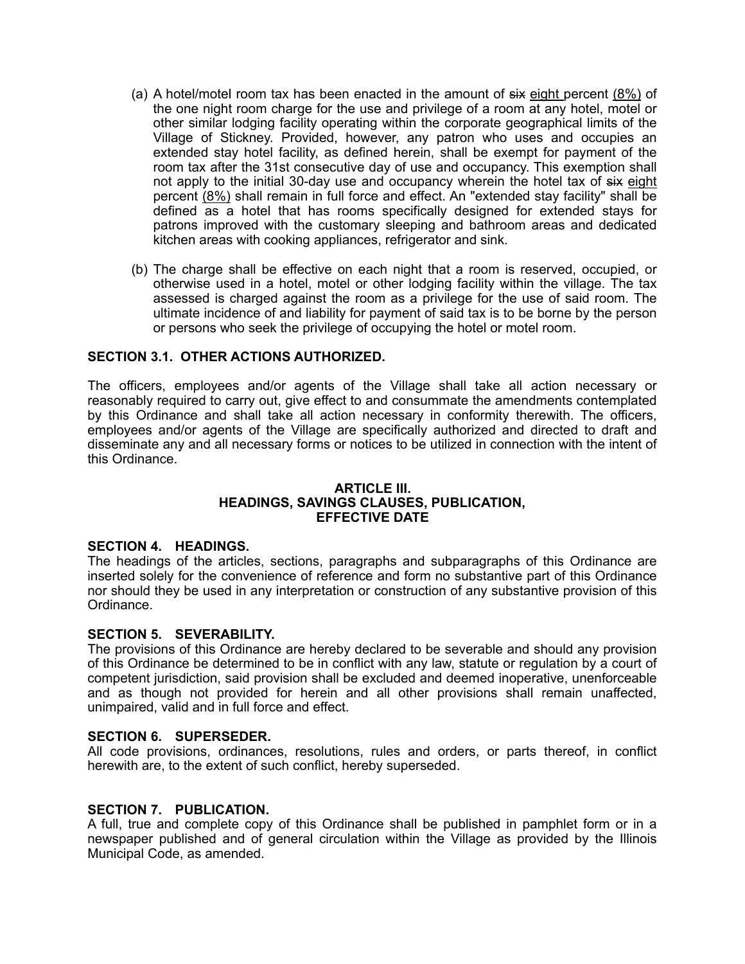- (a) A hotel/motel room tax has been enacted in the amount of  $six$  eight percent  $(8\%)$  of the one night room charge for the use and privilege of a room at any hotel, motel or other similar lodging facility operating within the corporate geographical limits of the Village of Stickney. Provided, however, any patron who uses and occupies an extended stay hotel facility, as defined herein, shall be exempt for payment of the room tax after the 31st consecutive day of use and occupancy. This exemption shall not apply to the initial 30-day use and occupancy wherein the hotel tax of six eight percent (8%) shall remain in full force and effect. An "extended stay facility" shall be defined as a hotel that has rooms specifically designed for extended stays for patrons improved with the customary sleeping and bathroom areas and dedicated kitchen areas with cooking appliances, refrigerator and sink.
- (b) The charge shall be effective on each night that a room is reserved, occupied, or otherwise used in a hotel, motel or other lodging facility within the village. The tax assessed is charged against the room as a privilege for the use of said room. The ultimate incidence of and liability for payment of said tax is to be borne by the person or persons who seek the privilege of occupying the hotel or motel room.

# **SECTION 3.1. OTHER ACTIONS AUTHORIZED.**

The officers, employees and/or agents of the Village shall take all action necessary or reasonably required to carry out, give effect to and consummate the amendments contemplated by this Ordinance and shall take all action necessary in conformity therewith. The officers, employees and/or agents of the Village are specifically authorized and directed to draft and disseminate any and all necessary forms or notices to be utilized in connection with the intent of this Ordinance.

### **ARTICLE III. HEADINGS, SAVINGS CLAUSES, PUBLICATION, EFFECTIVE DATE**

# **SECTION 4. HEADINGS.**

The headings of the articles, sections, paragraphs and subparagraphs of this Ordinance are inserted solely for the convenience of reference and form no substantive part of this Ordinance nor should they be used in any interpretation or construction of any substantive provision of this Ordinance.

# **SECTION 5. SEVERABILITY.**

The provisions of this Ordinance are hereby declared to be severable and should any provision of this Ordinance be determined to be in conflict with any law, statute or regulation by a court of competent jurisdiction, said provision shall be excluded and deemed inoperative, unenforceable and as though not provided for herein and all other provisions shall remain unaffected, unimpaired, valid and in full force and effect.

#### **SECTION 6. SUPERSEDER.**

All code provisions, ordinances, resolutions, rules and orders, or parts thereof, in conflict herewith are, to the extent of such conflict, hereby superseded.

#### **SECTION 7. PUBLICATION.**

A full, true and complete copy of this Ordinance shall be published in pamphlet form or in a newspaper published and of general circulation within the Village as provided by the Illinois Municipal Code, as amended.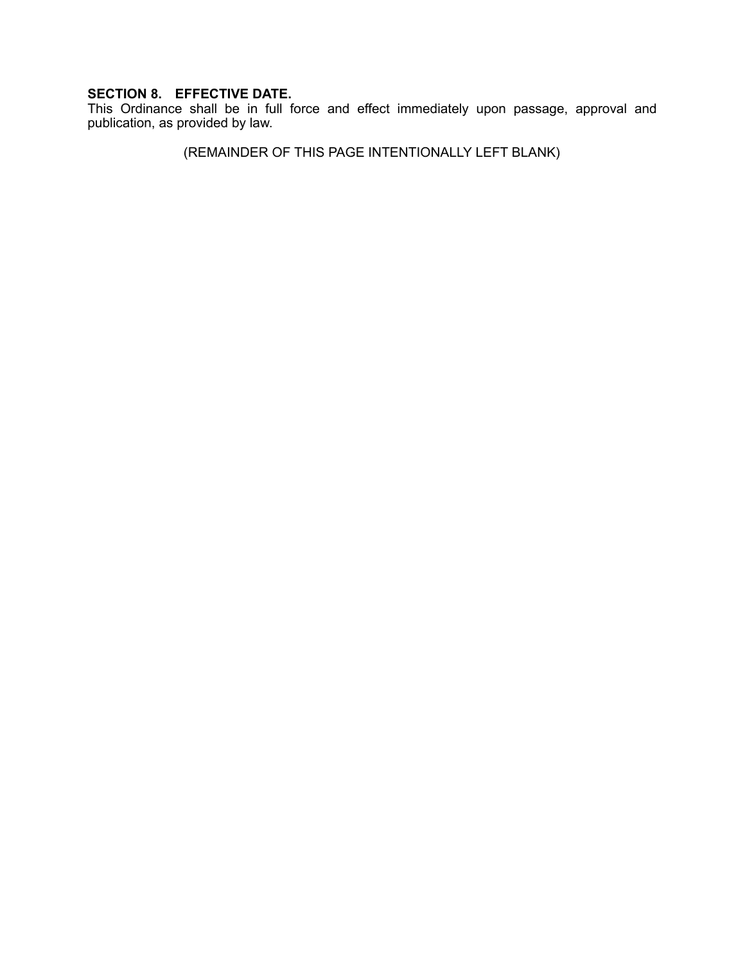# **SECTION 8. EFFECTIVE DATE.**

This Ordinance shall be in full force and effect immediately upon passage, approval and publication, as provided by law.

(REMAINDER OF THIS PAGE INTENTIONALLY LEFT BLANK)